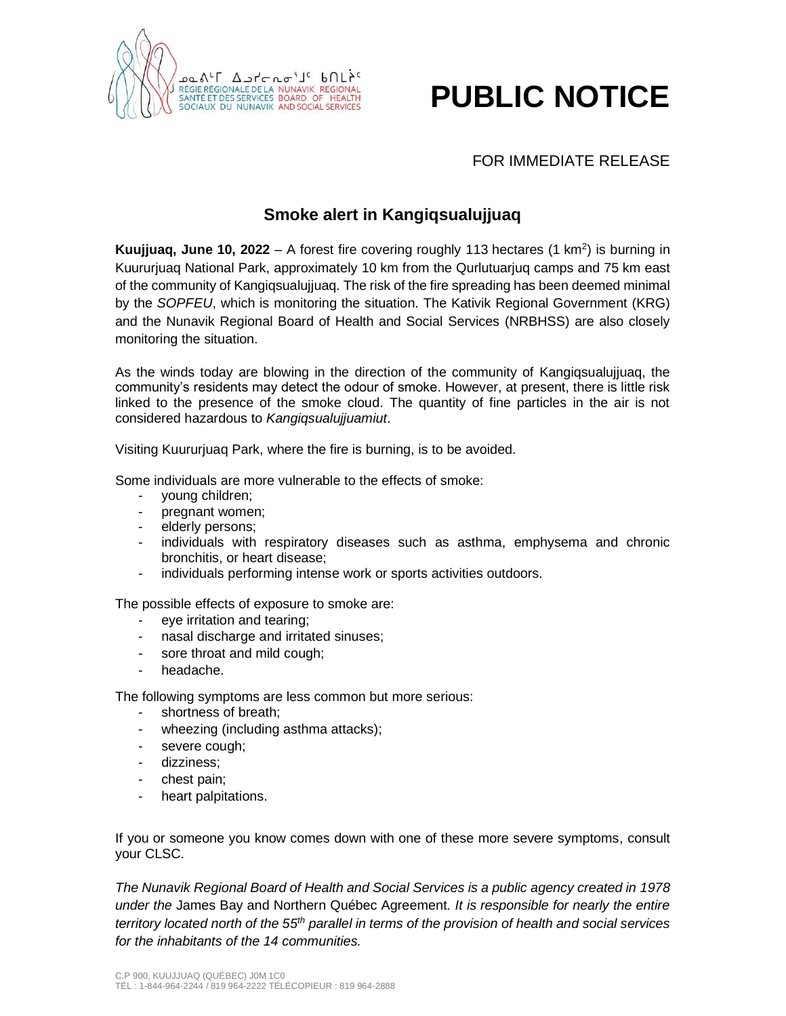

## **PUBLIC NOTICE**

## FOR IMMEDIATE RELEASE

## **Smoke alert in Kangiqsualujjuaq**

**Kuujjuaq, June 10, 2022** – A forest fire covering roughly 113 hectares (1 km<sup>2</sup>) is burning in Kuururjuaq National Park, approximately 10 km from the Qurlutuarjuq camps and 75 km east of the community of Kangiqsualujjuaq. The risk of the fire spreading has been deemed minimal by the *SOPFEU*, which is monitoring the situation. The Kativik Regional Government (KRG) and the Nunavik Regional Board of Health and Social Services (NRBHSS) are also closely monitoring the situation.

As the winds today are blowing in the direction of the community of Kangiqsualujjuaq, the community's residents may detect the odour of smoke. However, at present, there is little risk linked to the presence of the smoke cloud. The quantity of fine particles in the air is not considered hazardous to *Kangiqsualujjuamiut*.

Visiting Kuururjuaq Park, where the fire is burning, is to be avoided.

Some individuals are more vulnerable to the effects of smoke:

- young children;
- pregnant women;
- elderly persons;
- individuals with respiratory diseases such as asthma, emphysema and chronic bronchitis, or heart disease;
- individuals performing intense work or sports activities outdoors.

The possible effects of exposure to smoke are:

- eye irritation and tearing;
- nasal discharge and irritated sinuses;
- sore throat and mild cough;
- headache.

The following symptoms are less common but more serious:

- shortness of breath;
- wheezing (including asthma attacks);
- severe cough;
- dizziness;
- chest pain;
- heart palpitations.

If you or someone you know comes down with one of these more severe symptoms, consult your CLSC.

*The Nunavik Regional Board of Health and Social Services is a public agency created in 1978 under the* James Bay and Northern Québec Agreement*. It is responsible for nearly the entire territory located north of the 55th parallel in terms of the provision of health and social services for the inhabitants of the 14 communities.*